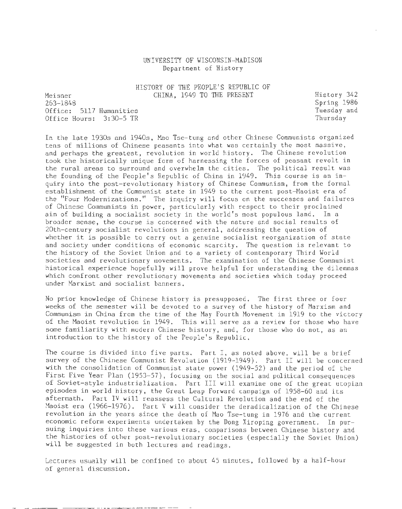# UNIVERSITY OF WISCONSIN-MADISON Department of History

HISTORY OF THE PEOPLE'S REPUBLIC OF CHINA, 1949 TO THE PRESENT

Meisner 263-1848 Office: 5117 Humanities Office Hours: 3:30-5 TR History 342 Spring 1986 Tuesday and Thursday

In the late 1930s and 1940s, Mao Tse-tung and other Chinese Communists organized tens of millions of Chinese peasants into what was certainly the most massive, and perhaps the greatest, revolution in world history. The Chinese revolution took the historically unique form of harnessing the forces of peasant revolt in the rural areas to surround and overwhelm the cities. The political result was the founding of the People's Republic of China in 1949. This course is an inquiry into the post-revolutionary history of Chinese Communism, from the formal establishment of the Communist state in 1949 to the current post-Maoist era of the "Four Modernizations." The inquiry will focus on the successes and failures of Chinese Communists in power, particularly with respect to their proclaimed aim of building a socialist society in the world's most populous land. In a broader sense, the course is concerned with the nature and social results of 20th-century socialist revolutions in general, addressing the question of whether it is possible to carry out a genuine socialist reorganization of state and society under conditions of economic scarcity. The question is relevant to the history of the Soviet Union and to a variety of contemporary Third World societies and revolutionary movements. The examination of the Chinese Communist historical experience hopefully will prove helpful for understanding the dilemmas which confront other revolutionary movements and societies which today proceed under Marxist and socialist banners.

No prior knowledge of Chinese history is presupposed. The first three or four weeks of the semester will be devoted to a survey of the history of Marxism and Communism in China from the time of the May Fourth Movement in 1919 to the victory of the Maoist revolution in 1949. This will serve as a review for those who have some familiarity with modern Chinese history, and, for those who do not, as an introduction to the history of the People's Republic.

The course is divided into five parts. Part I, as noted above, will be a brief survey of the Chinese Communist Revolution (1919-1949). Part II will be concerned with the consolidation of Communist state power (1949-52) and the period of the First Five Year Plan (1953-57), focusing on the social and political consequences of Soviet-style industrialization. Part III will examine one of the great utopian episodes in world history, the Great Leap Forward campaign of 1958-60 and its aftermath. Part IV will reassess the Cultural Revolution and the end of the Maoist era (1966-1976). Part V will consider the deradicalization of the Chinese revolution in the years since the death of Mao Tse-tung in 1976 and the current economic reform experiments undertaken by the Dong Xiroping government. In pursuing inquiries into these various eras, comparisons between Chinese history and the histories of other post-revolutionary societies (especially the Soviet Union) will be suggested in both lectures and readings.

Lectures usually will be confined to about 45 minutes, followed by a half-hour of general discussion.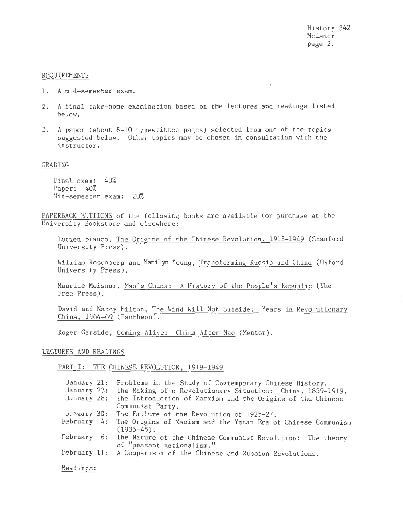$\mathbf{r}$ 

#### REQUIREMENTS

- 1. A mid-semester exam.
- 2. A final take-home examination based on the lectures and readings listed below.
- 3. A paper (about 8-10 typewritten pages) selected from one of the topics suggested below. Other topics may be chosen in consultation with the instructor.

### GRADING

Final exam: 40% Paper: 40% Mid-semester exam: 20%

PAPERBACK EDITIONS of the following books are available for purchase at the University Bookstore and elsewhere:

Lucien Bianco, The Origins of the Chinese Revolution, 1915-1949 (Stanford University Press).

William Rosenberg and Marilyn Young, Transforming Russia and China (Oxford University Press) .

Maurice Meisner, Mao's China: A History of the People's Republic (The Free Press).

David and Nancy Milton, The Wind Will Not Subside: Years in Revolutionary China, 1964-69 (Pantheon).

Roger Garside, Coming Alive: China After Mao (Mentor).

### LECTURES AND READINGS

### PART I: THE CHINESE REVOLUTION, 1919-1949

|           | January 21: Problems in the Study of Contemporary Chinese History.       |
|-----------|--------------------------------------------------------------------------|
|           | January 23: The Making of a Revolutionary Situation: China, 1839-1919.   |
|           | January 28: The Introduction of Marxism and the Origins of the Chinese   |
|           | Communist Party.                                                         |
|           | January 30: The Failure of the Revolution of 1925-27.                    |
|           | February 4: The Origins of Maoism and the Yenan Era of Chinese Communism |
|           | $(1935-45)$ .                                                            |
|           | February 6: The Nature of the Chinese Communist Revolution: The theory   |
|           | of "peasant nationalism."                                                |
|           | February 11: A Comparison of the Chinese and Russian Revolutions.        |
|           |                                                                          |
| Readings: |                                                                          |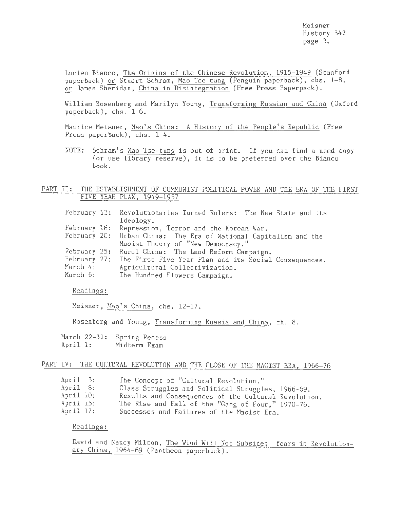Meisner History 342 page 3.

Lucien Bianco, The Origins of the Chinese Revolution, 1915-1949 (Stanford paperback) or Stuart Schram, Mao Tse-tung (Penguin paperback), chs. 1-8, or James Sheridan, China in Disintegration (Free Press Paperpack).

William Rosenberg and Marilyn Young, Transforming Russian and China (Oxford paperback), chs. 1-6.

Maurice Meisner, Mao's China: A History of the People's Republic (Free Press paperback), chs. 1-4.

NOTE: Schram's Mao Tse-tung is out of print. If you can find a used copy (or use library reserve), it is to be preferred over the Bianco book.

# PART II: THE ESTABLISHMENT OF COMMUNIST POLITICAL POWER AND THE ERA OF THE FIRST FIVE YEAR PLAN, 1949-1957

|          | February 13: Revolutionaries Turned Rulers: The New State and its  |
|----------|--------------------------------------------------------------------|
|          | Ideology.                                                          |
|          | February 18: Repression, Terror and the Korean War.                |
|          | February 20: Urban China: The Era of National Capitalism and the   |
|          | Maoist Theory of "New Democracy."                                  |
|          | February 25: Rural China: The Land Reform Campaign.                |
|          | February 27: The First Five Year Plan and its Social Consequences, |
| March 4: | Agricultural Collectivization.                                     |
| March 6: | The Hundred Flowers Campaign.                                      |

Readings:

Meisner, Mao's China, chs. 12-17.

Rosenberg and Young, Transforming Russia and China, ch. 8.

March 22-31: Spring Recess April 1: Midterm Exam

# PART IV: THE CULTURAL REVOLUTION AND THE CLOSE OF THE MAOIST ERA, 1966-76

| April 3:  | The Concept of "Cultural Revolution."                |
|-----------|------------------------------------------------------|
| April 8:  | Class Struggles and Political Struggles, 1966-69.    |
| April 10: | Results and Consequences of the Cultural Revolution. |
| April 15: | The Rise and Fall of the "Gang of Four," 1970-76.    |
| April 17: | Successes and Failures of the Maoist Era.            |

# Readings:

David and Nancy Milton, The Wind Will Not Subside: Years in Revolutionary China, 1964-69 (Pantheon paperback).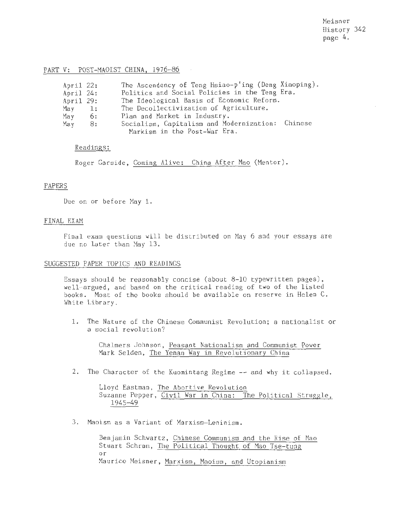Meisner History 342 page 4.

### PART V: POST-MAOIST CHINA, 1976-86

| April 22: |               | The Ascendency of Teng Hsiao-p'ing (Deng Xiaoping). |
|-----------|---------------|-----------------------------------------------------|
| April 24: |               | Politics and Social Policies in the Teng Era.       |
| April 29: |               | The Ideological Basis of Economic Reform.           |
| May       | $\mathbf{1:}$ | The Decollectivization of Agriculture.              |
| May       | 6:            | Plan and Market in Industry.                        |
| May       | 8:            | Socialism, Capitalism and Modernization: Chinese    |
|           |               | Markism in the Post-War Era.                        |
|           |               |                                                     |

## Readings:

Roger Garside, Coming Alive: China After Mao (Mentor).

## PAPERS

Due on or before May 1.

#### FINAL EXAM

Final exam questions will be distributed on May 6 and your essays are due no later than May 13.

### SUGGESTED PAPER TOPICS AND READINGS

Essays should be reasonably concise (about 8-10 typewritten pages), well-argued, and based on the critical reading of two of the listed books. Most of the books should be available on reserve in Helen C. White Library.

1. The Nature of the Chinese Communist Revolution; a nationalist or a social revolution?

> Chalmers Johnson, Peasant Nationalism and Communist Power Mark Selden, The Yenan Way in Revolutionary China

2. The Character of the Kuomintang Regime -- and why it collapsed.

Lloyd Eastman, The Abortive Revolution Suzanne Pepper, Civil War in China: The Political Struggle, 1945-49

3. Maoism as a Variant of Marxism-Leninism.

Benjamin Schwartz, Chinese Communism and the Rise of Mao Stuart Schram, The Political Thought of Mao Tse-tung or Maurice Meisner, Marxism, Maoism, and Utopianism